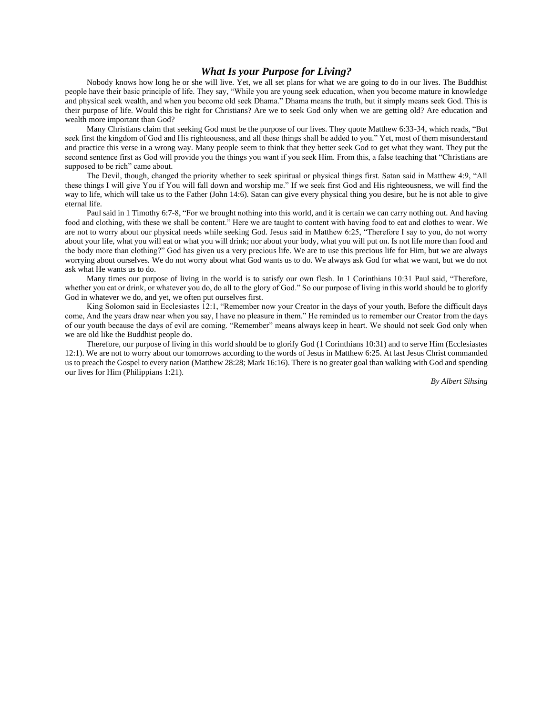## *What Is your Purpose for Living?*

Nobody knows how long he or she will live. Yet, we all set plans for what we are going to do in our lives. The Buddhist people have their basic principle of life. They say, "While you are young seek education, when you become mature in knowledge and physical seek wealth, and when you become old seek Dhama." Dhama means the truth, but it simply means seek God. This is their purpose of life. Would this be right for Christians? Are we to seek God only when we are getting old? Are education and wealth more important than God?

Many Christians claim that seeking God must be the purpose of our lives. They quote Matthew 6:33-34, which reads, "But seek first the kingdom of God and His righteousness, and all these things shall be added to you." Yet, most of them misunderstand and practice this verse in a wrong way. Many people seem to think that they better seek God to get what they want. They put the second sentence first as God will provide you the things you want if you seek Him. From this, a false teaching that "Christians are supposed to be rich" came about.

The Devil, though, changed the priority whether to seek spiritual or physical things first. Satan said in Matthew 4:9, "All these things I will give You if You will fall down and worship me." If we seek first God and His righteousness, we will find the way to life, which will take us to the Father (John 14:6). Satan can give every physical thing you desire, but he is not able to give eternal life.

Paul said in 1 Timothy 6:7-8, "For we brought nothing into this world, and it is certain we can carry nothing out. And having food and clothing, with these we shall be content." Here we are taught to content with having food to eat and clothes to wear. We are not to worry about our physical needs while seeking God. Jesus said in Matthew 6:25, "Therefore I say to you, do not worry about your life, what you will eat or what you will drink; nor about your body, what you will put on. Is not life more than food and the body more than clothing?" God has given us a very precious life. We are to use this precious life for Him, but we are always worrying about ourselves. We do not worry about what God wants us to do. We always ask God for what we want, but we do not ask what He wants us to do.

Many times our purpose of living in the world is to satisfy our own flesh. In 1 Corinthians 10:31 Paul said, "Therefore, whether you eat or drink, or whatever you do, do all to the glory of God." So our purpose of living in this world should be to glorify God in whatever we do, and yet, we often put ourselves first.

King Solomon said in Ecclesiastes 12:1, "Remember now your Creator in the days of your youth, Before the difficult days come, And the years draw near when you say, I have no pleasure in them." He reminded us to remember our Creator from the days of our youth because the days of evil are coming. "Remember" means always keep in heart. We should not seek God only when we are old like the Buddhist people do.

Therefore, our purpose of living in this world should be to glorify God (1 Corinthians 10:31) and to serve Him (Ecclesiastes 12:1). We are not to worry about our tomorrows according to the words of Jesus in Matthew 6:25. At last Jesus Christ commanded us to preach the Gospel to every nation (Matthew 28:28; Mark 16:16). There is no greater goal than walking with God and spending our lives for Him (Philippians 1:21).

*By Albert Sihsing*